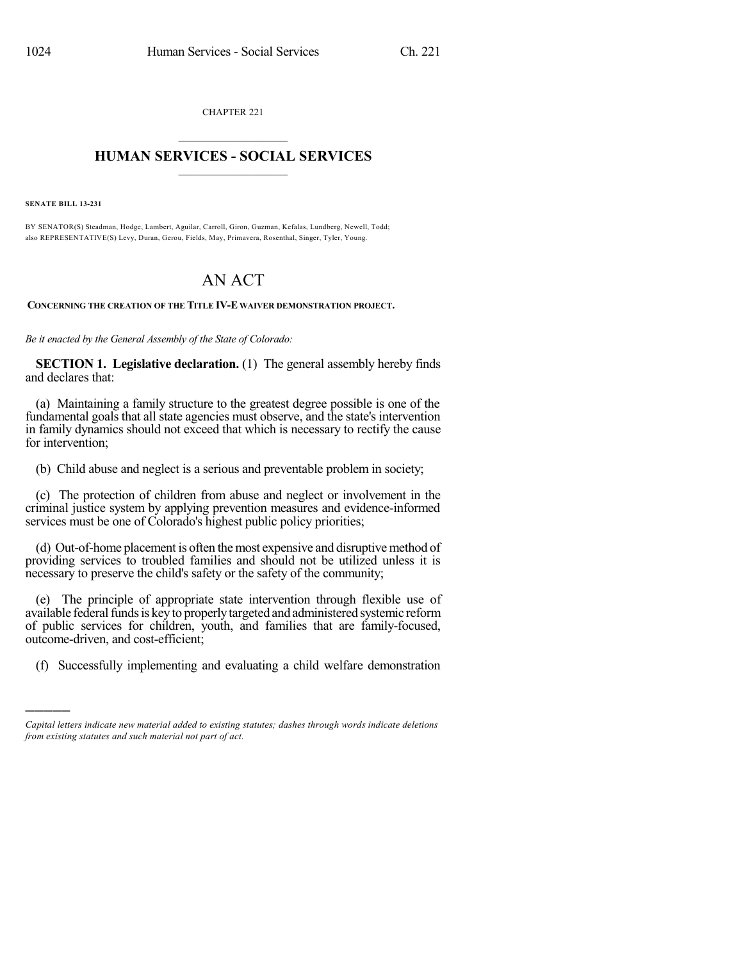CHAPTER 221  $\mathcal{L}_\text{max}$  . The set of the set of the set of the set of the set of the set of the set of the set of the set of the set of the set of the set of the set of the set of the set of the set of the set of the set of the set

## **HUMAN SERVICES - SOCIAL SERVICES**  $\frac{1}{2}$  ,  $\frac{1}{2}$  ,  $\frac{1}{2}$  ,  $\frac{1}{2}$  ,  $\frac{1}{2}$  ,  $\frac{1}{2}$

**SENATE BILL 13-231**

)))))

BY SENATOR(S) Steadman, Hodge, Lambert, Aguilar, Carroll, Giron, Guzman, Kefalas, Lundberg, Newell, Todd; also REPRESENTATIVE(S) Levy, Duran, Gerou, Fields, May, Primavera, Rosenthal, Singer, Tyler, Young.

## AN ACT

**CONCERNING THE CREATION OF THE TITLE IV-E WAIVER DEMONSTRATION PROJECT.**

*Be it enacted by the General Assembly of the State of Colorado:*

**SECTION 1. Legislative declaration.** (1) The general assembly hereby finds and declares that:

(a) Maintaining a family structure to the greatest degree possible is one of the fundamental goals that all state agencies must observe, and the state's intervention in family dynamics should not exceed that which is necessary to rectify the cause for intervention;

(b) Child abuse and neglect is a serious and preventable problem in society;

(c) The protection of children from abuse and neglect or involvement in the criminal justice system by applying prevention measures and evidence-informed services must be one of Colorado's highest public policy priorities;

(d) Out-of-home placement is often the most expensive and disruptive method of providing services to troubled families and should not be utilized unless it is necessary to preserve the child's safety or the safety of the community;

(e) The principle of appropriate state intervention through flexible use of available federal funds is key to properly targeted and administered systemic reform of public services for children, youth, and families that are family-focused, outcome-driven, and cost-efficient;

(f) Successfully implementing and evaluating a child welfare demonstration

*Capital letters indicate new material added to existing statutes; dashes through words indicate deletions from existing statutes and such material not part of act.*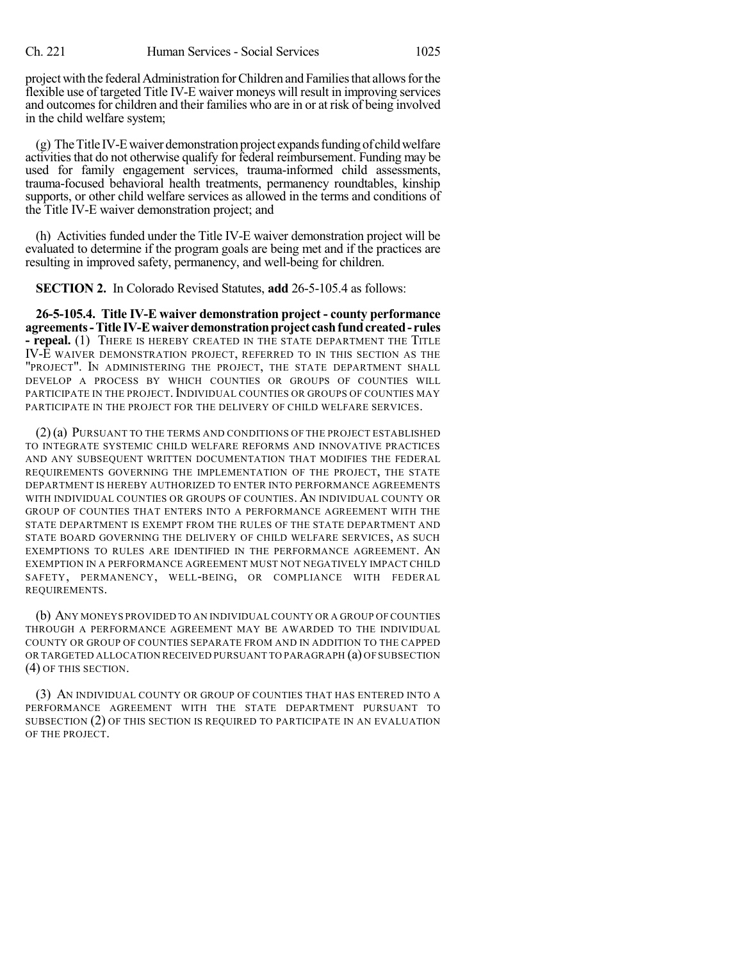project with the federal Administration for Children and Families that allows for the flexible use of targeted Title IV-E waiver moneys will result in improving services and outcomes for children and their families who are in or at risk of being involved in the child welfare system;

 $(g)$  The Title IV-E waiver demonstration project expands funding of child welfare activities that do not otherwise qualify for federal reimbursement. Funding may be used for family engagement services, trauma-informed child assessments, trauma-focused behavioral health treatments, permanency roundtables, kinship supports, or other child welfare services as allowed in the terms and conditions of the Title IV-E waiver demonstration project; and

(h) Activities funded under the Title IV-E waiver demonstration project will be evaluated to determine if the program goals are being met and if the practices are resulting in improved safety, permanency, and well-being for children.

**SECTION 2.** In Colorado Revised Statutes, **add** 26-5-105.4 as follows:

**26-5-105.4. Title IV-E waiver demonstration project - county performance agreements-Title IV-Ewaiverdemonstrationproject cashfundcreated- rules - repeal.** (1) THERE IS HEREBY CREATED IN THE STATE DEPARTMENT THE TITLE IV-E WAIVER DEMONSTRATION PROJECT, REFERRED TO IN THIS SECTION AS THE "PROJECT". IN ADMINISTERING THE PROJECT, THE STATE DEPARTMENT SHALL DEVELOP A PROCESS BY WHICH COUNTIES OR GROUPS OF COUNTIES WILL PARTICIPATE IN THE PROJECT. INDIVIDUAL COUNTIES OR GROUPS OF COUNTIES MAY PARTICIPATE IN THE PROJECT FOR THE DELIVERY OF CHILD WELFARE SERVICES.

(2)(a) PURSUANT TO THE TERMS AND CONDITIONS OF THE PROJECT ESTABLISHED TO INTEGRATE SYSTEMIC CHILD WELFARE REFORMS AND INNOVATIVE PRACTICES AND ANY SUBSEQUENT WRITTEN DOCUMENTATION THAT MODIFIES THE FEDERAL REQUIREMENTS GOVERNING THE IMPLEMENTATION OF THE PROJECT, THE STATE DEPARTMENT IS HEREBY AUTHORIZED TO ENTER INTO PERFORMANCE AGREEMENTS WITH INDIVIDUAL COUNTIES OR GROUPS OF COUNTIES. AN INDIVIDUAL COUNTY OR GROUP OF COUNTIES THAT ENTERS INTO A PERFORMANCE AGREEMENT WITH THE STATE DEPARTMENT IS EXEMPT FROM THE RULES OF THE STATE DEPARTMENT AND STATE BOARD GOVERNING THE DELIVERY OF CHILD WELFARE SERVICES, AS SUCH EXEMPTIONS TO RULES ARE IDENTIFIED IN THE PERFORMANCE AGREEMENT. AN EXEMPTION IN A PERFORMANCE AGREEMENT MUST NOT NEGATIVELY IMPACT CHILD SAFETY, PERMANENCY, WELL-BEING, OR COMPLIANCE WITH FEDERAL REQUIREMENTS.

(b) ANY MONEYS PROVIDED TO AN INDIVIDUAL COUNTY OR A GROUP OF COUNTIES THROUGH A PERFORMANCE AGREEMENT MAY BE AWARDED TO THE INDIVIDUAL COUNTY OR GROUP OF COUNTIES SEPARATE FROM AND IN ADDITION TO THE CAPPED OR TARGETED ALLOCATION RECEIVED PURSUANT TO PARAGRAPH (a) OF SUBSECTION (4) OF THIS SECTION.

(3) AN INDIVIDUAL COUNTY OR GROUP OF COUNTIES THAT HAS ENTERED INTO A PERFORMANCE AGREEMENT WITH THE STATE DEPARTMENT PURSUANT TO SUBSECTION (2) OF THIS SECTION IS REQUIRED TO PARTICIPATE IN AN EVALUATION OF THE PROJECT.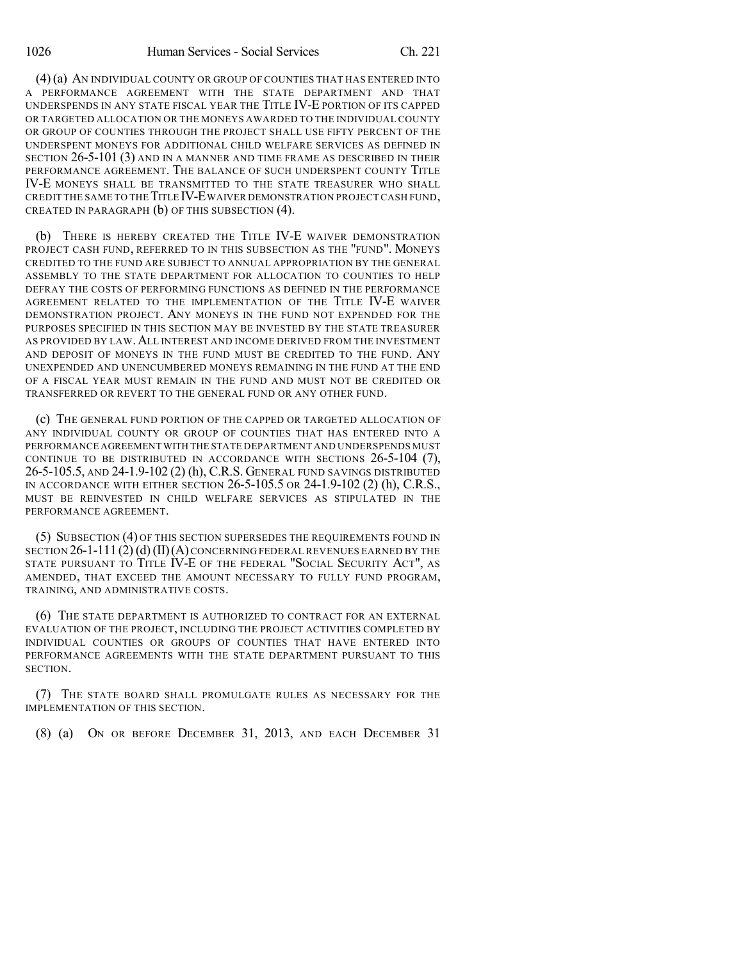(4)(a) AN INDIVIDUAL COUNTY OR GROUP OF COUNTIES THAT HAS ENTERED INTO A PERFORMANCE AGREEMENT WITH THE STATE DEPARTMENT AND THAT UNDERSPENDS IN ANY STATE FISCAL YEAR THE TITLE IV-E PORTION OF ITS CAPPED OR TARGETED ALLOCATION OR THE MONEYS AWARDED TO THE INDIVIDUAL COUNTY OR GROUP OF COUNTIES THROUGH THE PROJECT SHALL USE FIFTY PERCENT OF THE UNDERSPENT MONEYS FOR ADDITIONAL CHILD WELFARE SERVICES AS DEFINED IN SECTION 26-5-101 (3) AND IN A MANNER AND TIME FRAME AS DESCRIBED IN THEIR PERFORMANCE AGREEMENT. THE BALANCE OF SUCH UNDERSPENT COUNTY TITLE IV-E MONEYS SHALL BE TRANSMITTED TO THE STATE TREASURER WHO SHALL CREDIT THE SAME TO THE TITLE IV-EWAIVER DEMONSTRATION PROJECT CASH FUND, CREATED IN PARAGRAPH (b) OF THIS SUBSECTION (4).

(b) THERE IS HEREBY CREATED THE TITLE IV-E WAIVER DEMONSTRATION PROJECT CASH FUND, REFERRED TO IN THIS SUBSECTION AS THE "FUND". MONEYS CREDITED TO THE FUND ARE SUBJECT TO ANNUAL APPROPRIATION BY THE GENERAL ASSEMBLY TO THE STATE DEPARTMENT FOR ALLOCATION TO COUNTIES TO HELP DEFRAY THE COSTS OF PERFORMING FUNCTIONS AS DEFINED IN THE PERFORMANCE AGREEMENT RELATED TO THE IMPLEMENTATION OF THE TITLE IV-E WAIVER DEMONSTRATION PROJECT. ANY MONEYS IN THE FUND NOT EXPENDED FOR THE PURPOSES SPECIFIED IN THIS SECTION MAY BE INVESTED BY THE STATE TREASURER AS PROVIDED BY LAW. ALL INTEREST AND INCOME DERIVED FROM THE INVESTMENT AND DEPOSIT OF MONEYS IN THE FUND MUST BE CREDITED TO THE FUND. ANY UNEXPENDED AND UNENCUMBERED MONEYS REMAINING IN THE FUND AT THE END OF A FISCAL YEAR MUST REMAIN IN THE FUND AND MUST NOT BE CREDITED OR TRANSFERRED OR REVERT TO THE GENERAL FUND OR ANY OTHER FUND.

(c) THE GENERAL FUND PORTION OF THE CAPPED OR TARGETED ALLOCATION OF ANY INDIVIDUAL COUNTY OR GROUP OF COUNTIES THAT HAS ENTERED INTO A PERFORMANCE AGREEMENT WITH THE STATE DEPARTMENT AND UNDERSPENDS MUST CONTINUE TO BE DISTRIBUTED IN ACCORDANCE WITH SECTIONS 26-5-104 (7), 26-5-105.5, AND 24-1.9-102 (2) (h), C.R.S. GENERAL FUND SAVINGS DISTRIBUTED IN ACCORDANCE WITH EITHER SECTION 26-5-105.5 OR 24-1.9-102 (2) (h), C.R.S., MUST BE REINVESTED IN CHILD WELFARE SERVICES AS STIPULATED IN THE PERFORMANCE AGREEMENT.

(5) SUBSECTION (4) OF THIS SECTION SUPERSEDES THE REQUIREMENTS FOUND IN SECTION  $26$ -1-111(2)(d)(II)(A)concerning FEDERAL REVENUES EARNED BY THE STATE PURSUANT TO TITLE IV-E OF THE FEDERAL "SOCIAL SECURITY ACT", AS AMENDED, THAT EXCEED THE AMOUNT NECESSARY TO FULLY FUND PROGRAM, TRAINING, AND ADMINISTRATIVE COSTS.

(6) THE STATE DEPARTMENT IS AUTHORIZED TO CONTRACT FOR AN EXTERNAL EVALUATION OF THE PROJECT, INCLUDING THE PROJECT ACTIVITIES COMPLETED BY INDIVIDUAL COUNTIES OR GROUPS OF COUNTIES THAT HAVE ENTERED INTO PERFORMANCE AGREEMENTS WITH THE STATE DEPARTMENT PURSUANT TO THIS SECTION.

(7) THE STATE BOARD SHALL PROMULGATE RULES AS NECESSARY FOR THE IMPLEMENTATION OF THIS SECTION.

(8) (a) ON OR BEFORE DECEMBER 31, 2013, AND EACH DECEMBER 31